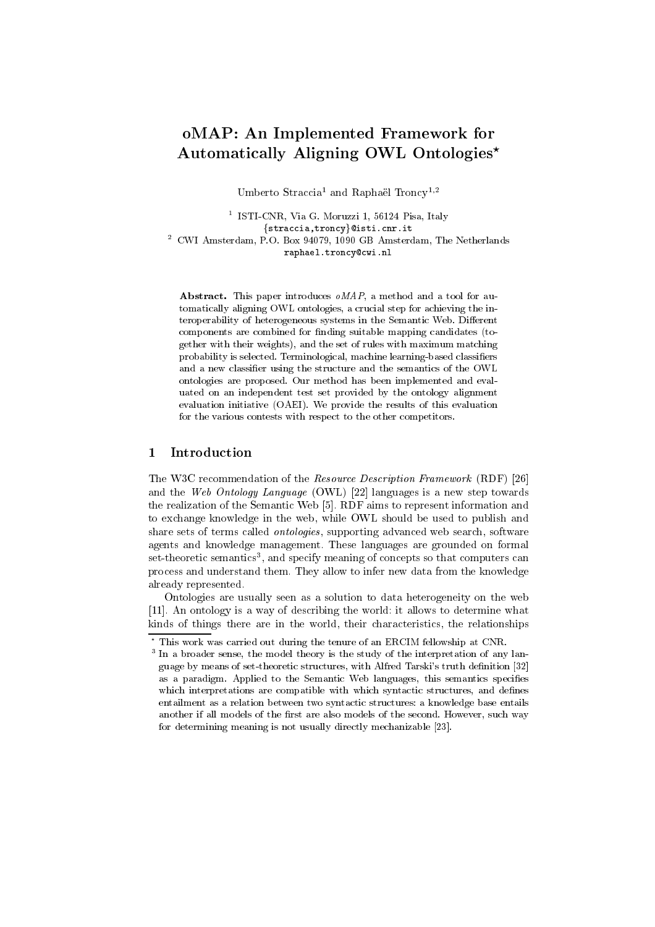# oMAP: An Implemented Framework for Automatically Aligning OWL Ontologies\*

Umberto Straccia<sup>1</sup> and Raphaël Troncy<sup>1,2</sup>

<sup>1</sup> ISTI-CNR, Via G. Moruzzi 1, 56124 Pisa, Italy {straccia, troncy}@isti.cnr.it

 $^2\,$  CWI Amsterdam, P.O. Box 94079, 1090 GB Amsterdam, The Netherlands raphael.troncy@cwi.nl

Abstract. This paper introduces oMAP, a method and a tool for automatically aligning OWL ontologies, a crucial step for achieving the interoperability of heterogeneous systems in the Semantic Web. Different components are combined for finding suitable mapping candidates (together with their weights), and the set of rules with maximum matching probability is selected. Terminological, machine learning-based classifiers and a new classifier using the structure and the semantics of the OWL ontologies are proposed. Our method has been implemented and evaluated on an independent test set provided by the ontology alignment evaluation initiative (OAEI). We provide the results of this evaluation for the various contests with respect to the other competitors.

#### Introduction  $\mathbf{1}$

The W3C recommendation of the Resource Description Framework (RDF) [26] and the Web Ontology Language (OWL) [22] languages is a new step towards the realization of the Semantic Web [5]. RDF aims to represent information and to exchange knowledge in the web, while OWL should be used to publish and share sets of terms called *ontologies*, supporting advanced web search, software agents and knowledge management. These languages are grounded on formal set-theoretic semantics<sup>3</sup>, and specify meaning of concepts so that computers can process and understand them. They allow to infer new data from the knowledge already represented.

Ontologies are usually seen as a solution to data heterogeneity on the web [11]. An ontology is a way of describing the world: it allows to determine what kinds of things there are in the world, their characteristics, the relationships

 $^{\star}$  This work was carried out during the tenure of an ERCIM fellowship at CNR.

<sup>&</sup>lt;sup>3</sup> In a broader sense, the model theory is the study of the interpretation of any language by means of set-theoretic structures, with Alfred Tarski's truth definition [32] as a paradigm. Applied to the Semantic Web languages, this semantics specifies which interpretations are compatible with which syntactic structures, and defines entailment as a relation between two syntactic structures: a knowledge base entails another if all models of the first are also models of the second. However, such way for determining meaning is not usually directly mechanizable [23].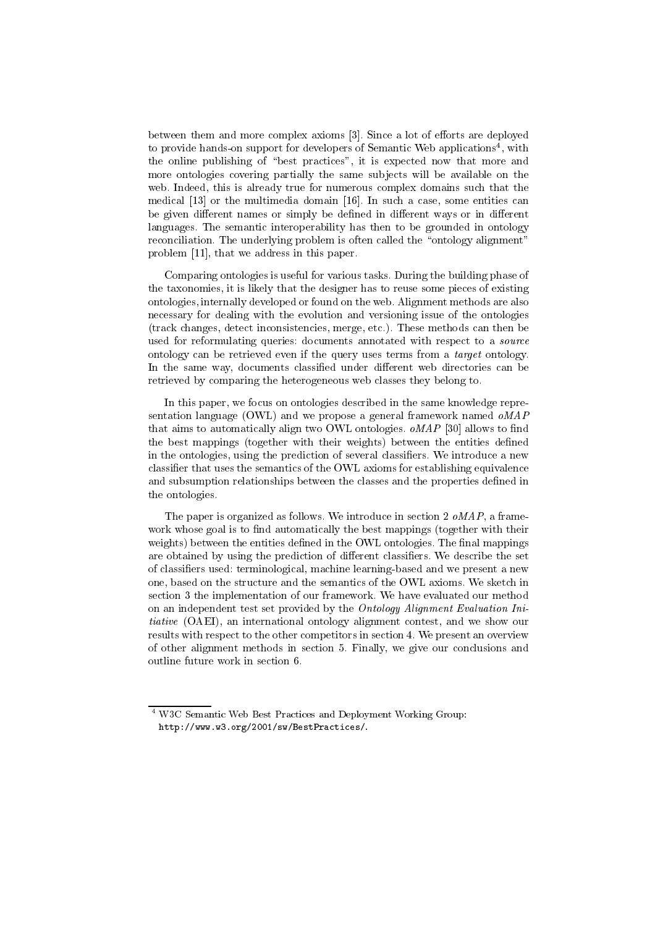between them and more complex axioms [3]. Since a lot of efforts are deployed to provide hands-on support for developers of Semantic Web applications<sup>4</sup>, with the online publishing of "best practices", it is expected now that more and more ontologies covering partially the same subjects will be available on the web. Indeed, this is already true for numerous complex domains such that the medical [13] or the multimedia domain [16]. In such a case, some entities can be given different names or simply be defined in different ways or in different languages. The semantic interoperability has then to be grounded in ontology reconciliation. The underlying problem is often called the "ontology alignment" problem [11], that we address in this paper.

Comparing ontologies is useful for various tasks. During the building phase of the taxonomies, it is likely that the designer has to reuse some pieces of existing ontologies, internally developed or found on the web. Alignment methods are also necessary for dealing with the evolution and versioning issue of the ontologies (track changes, detect inconsistencies, merge, etc.). These methods can then be used for reformulating queries: documents annotated with respect to a source ontology can be retrieved even if the query uses terms from a target ontology. In the same way, documents classified under different web directories can be retrieved by comparing the heterogeneous web classes they belong to.

In this paper, we focus on ontologies described in the same knowledge representation language (OWL) and we propose a general framework named  $\omega MAP$ that aims to automatically align two OWL ontologies.  $\omega MAP$  [30] allows to find the best mappings (together with their weights) between the entities defined in the ontologies, using the prediction of several classifiers. We introduce a new classifier that uses the semantics of the OWL axioms for establishing equivalence and subsumption relationships between the classes and the properties defined in the ontologies.

The paper is organized as follows. We introduce in section 2 oMAP, a framework whose goal is to find automatically the best mappings (together with their weights) between the entities defined in the OWL ontologies. The final mappings are obtained by using the prediction of different classifiers. We describe the set of classifiers used: terminological, machine learning-based and we present a new one, based on the structure and the semantics of the OWL axioms. We sketch in section 3 the implementation of our framework. We have evaluated our method on an independent test set provided by the Ontology Alignment Evaluation Ini*tiative* (OAEI), an international ontology alignment contest, and we show our results with respect to the other competitors in section 4. We present an overview of other alignment methods in section 5. Finally, we give our conclusions and outline future work in section 6.

<sup>&</sup>lt;sup>4</sup> W3C Semantic Web Best Practices and Deployment Working Group: http://www.w3.org/2001/sw/BestPractices/.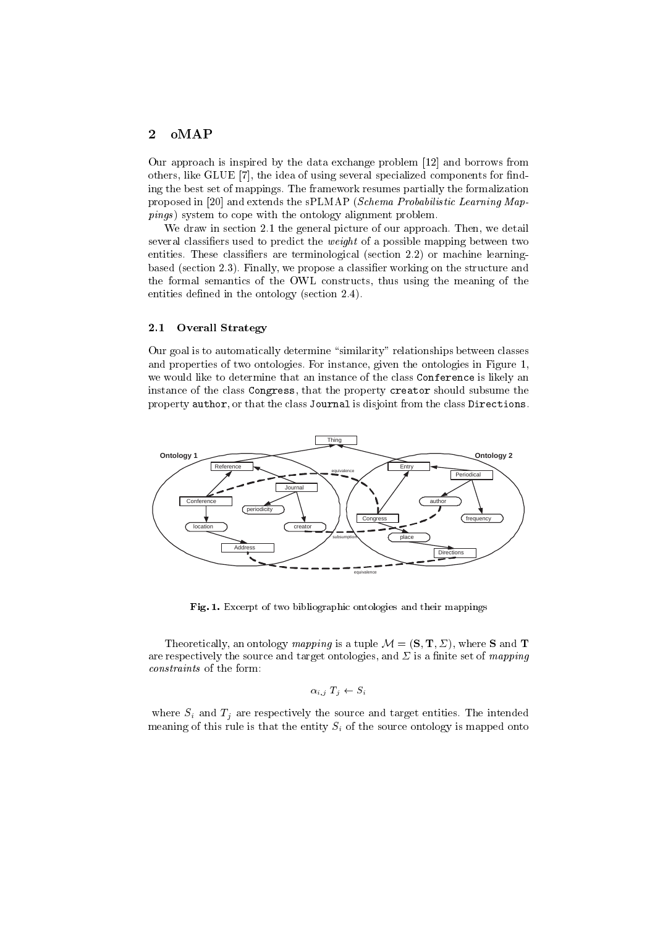#### oMAP  $\overline{2}$

Our approach is inspired by the data exchange problem [12] and borrows from others, like GLUE [7], the idea of using several specialized components for finding the best set of mappings. The framework resumes partially the formalization proposed in [20] and extends the sPLMAP (Schema Probabilistic Learning Map*pings*) system to cope with the ontology alignment problem.

We draw in section 2.1 the general picture of our approach. Then, we detail several classifiers used to predict the *weight* of a possible mapping between two entities. These classifiers are terminological (section 2.2) or machine learningbased (section  $2.3$ ). Finally, we propose a classifier working on the structure and the formal semantics of the OWL constructs, thus using the meaning of the entities defined in the ontology (section 2.4).

#### $2.1$ **Overall Strategy**

Our goal is to automatically determine "similarity" relationships between classes and properties of two ontologies. For instance, given the ontologies in Figure 1, we would like to determine that an instance of the class Conference is likely an instance of the class Congress, that the property creator should subsume the property author, or that the class Journal is disjoint from the class Directions.



Fig. 1. Excerpt of two bibliographic ontologies and their mappings

Theoretically, an ontology mapping is a tuple  $\mathcal{M} = (\mathbf{S}, \mathbf{T}, \Sigma)$ , where **S** and **T** are respectively the source and target ontologies, and  $\Sigma$  is a finite set of *mapping* constraints of the form:

$$
\alpha_{i,j} T_j \leftarrow S_i
$$

where  $S_i$  and  $T_i$  are respectively the source and target entities. The intended meaning of this rule is that the entity  $S_i$  of the source ontology is mapped onto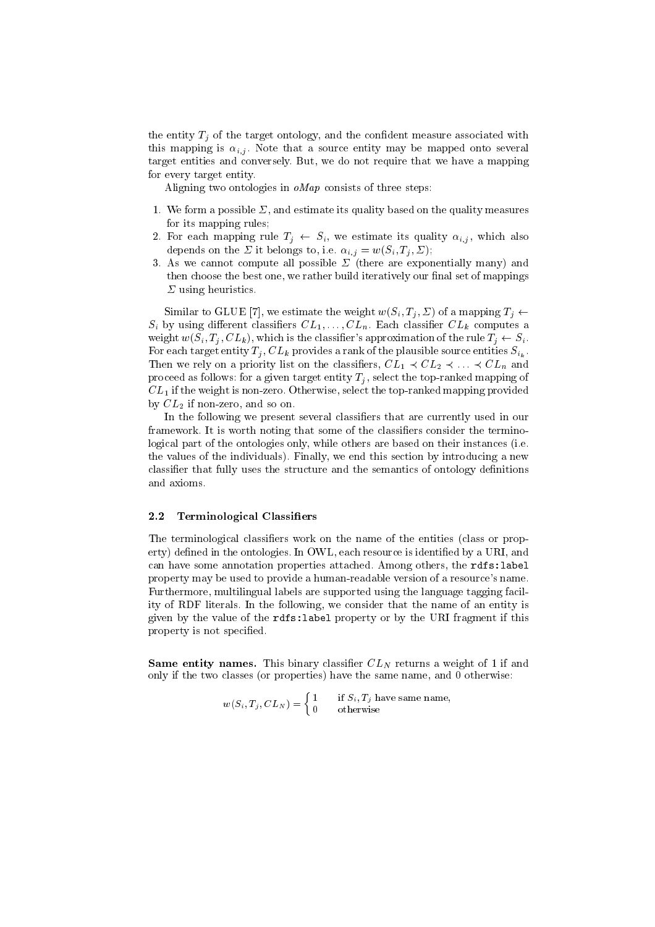the entity  $T_j$  of the target ontology, and the confident measure associated with this mapping is  $\alpha_{i,j}$ . Note that a source entity may be mapped onto several target entities and conversely. But, we do not require that we have a mapping for every target entity.

Aligning two ontologies in  $oMap$  consists of three steps:

- 1. We form a possible  $\Sigma$ , and estimate its quality based on the quality measures for its mapping rules;
- 2. For each mapping rule  $T_i \leftarrow S_i$ , we estimate its quality  $\alpha_{i,j}$ , which also depends on the  $\Sigma$  it belongs to, i.e.  $\alpha_{i,j} = w(S_i, T_j, \Sigma)$ ;
- 3. As we cannot compute all possible  $\Sigma$  (there are exponentially many) and then choose the best one, we rather build iteratively our final set of mappings  $\Sigma$  using heuristics.

Similar to GLUE [7], we estimate the weight  $w(S_i, T_j, \Sigma)$  of a mapping  $T_j \leftarrow$  $S_i$  by using different classifiers  $CL_1, \ldots, CL_n$ . Each classifier  $CL_k$  computes a weight  $w(S_i, T_j, CL_k)$ , which is the classifier's approximation of the rule  $T_j \leftarrow S_i$ . For each target entity  $T_j$ ,  $CL_k$  provides a rank of the plausible source entities  $S_{i_k}$ . Then we rely on a priority list on the classifiers,  $CL_1 \prec CL_2 \prec \ldots \prec CL_n$  and proceed as follows: for a given target entity  $T_j$ , select the top-ranked mapping of  $CL<sub>1</sub>$  if the weight is non-zero. Otherwise, select the top-ranked mapping provided by  $CL_2$  if non-zero, and so on.

In the following we present several classifiers that are currently used in our framework. It is worth noting that some of the classifiers consider the terminological part of the ontologies only, while others are based on their instances (i.e. the values of the individuals). Finally, we end this section by introducing a new classifier that fully uses the structure and the semantics of ontology definitions and axioms.

#### $2.2$ **Terminological Classifiers**

The terminological classifiers work on the name of the entities (class or property) defined in the ontologies. In OWL, each resource is identified by a URI, and can have some annotation properties attached. Among others, the rdfs: label property may be used to provide a human-readable version of a resource's name. Furthermore, multilingual labels are supported using the language tagging facility of RDF literals. In the following, we consider that the name of an entity is given by the value of the rdfs: label property or by the URI fragment if this property is not specified.

**Same entity names.** This binary classifier  $CL<sub>N</sub>$  returns a weight of 1 if and only if the two classes (or properties) have the same name, and 0 otherwise:

 $w(S_i, T_j, CL_N) = \begin{cases} 1 & \text{if } S_i, T_j \text{ have same name,} \\ 0 & \text{otherwise} \end{cases}$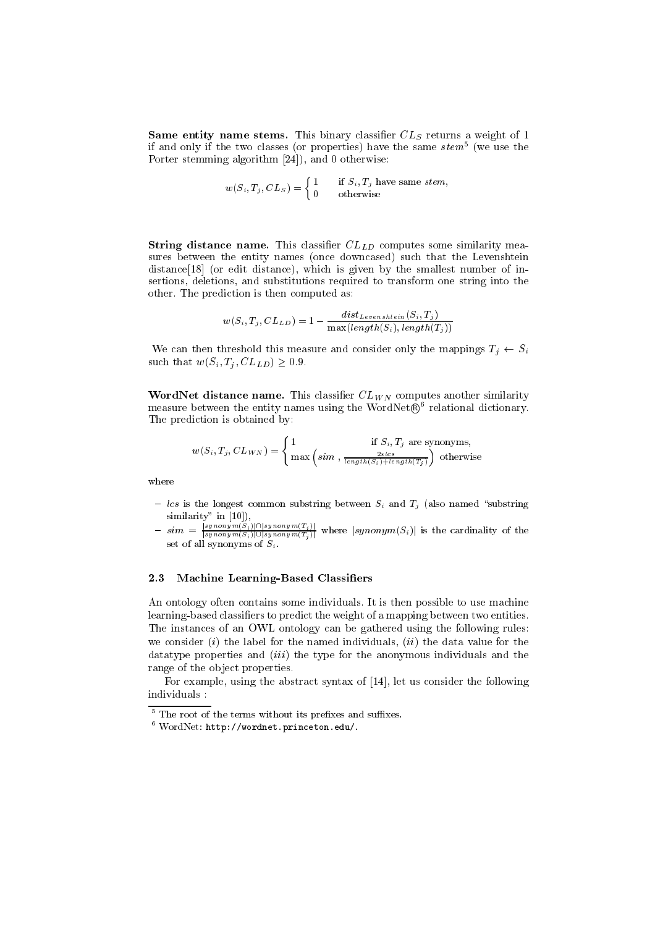**Same entity name stems.** This binary classifier  $CL_S$  returns a weight of 1 if and only if the two classes (or properties) have the same  $stem^5$  (we use the Porter stemming algorithm  $[24]$ , and 0 otherwise:

$$
w(S_i, T_j, CL_S) = \begin{cases} 1 & \text{if } S_i, T_j \text{ have same } stem, \\ 0 & \text{otherwise} \end{cases}
$$

**String distance name.** This classifier  $CL_{LD}$  computes some similarity measures between the entity names (once downcased) such that the Levenshtein distance[18] (or edit distance), which is given by the smallest number of insertions, deletions, and substitutions required to transform one string into the other. The prediction is then computed as:

$$
w(S_i, T_j, CL_{LD}) = 1 - \frac{dist_{Levenshtein}(S_i, T_j)}{\max(length(S_i), length(T_j))}
$$

We can then threshold this measure and consider only the mappings  $T_j \leftarrow S_i$ such that  $w(S_i, T_j, CL_{LD}) \geq 0.9$ .

**WordNet distance name.** This classifier  $CL_{WN}$  computes another similarity measure between the entity names using the WordNet $(\mathbb{R}^6$  relational dictionary. The prediction is obtained by:

$$
w(S_i, T_j, CL_{WN}) = \begin{cases} 1 & \text{if } S_i, T_j \text{ are synonyms,} \\ \max\left(sim\right., \frac{2 * lcs}{length(S_i) + length(T_j)}\right) \text{ otherwise.} \end{cases}
$$

where

- les is the longest common substring between  $S_i$  and  $T_i$  (also named "substring"
- similarity" in [10]),<br>  $-\sin n = \frac{|symonym(S_i)| \cap |symonym(T_j)|}{|symonym(S_i)| \cup |symonym(T_j)|}$  where  $|symonym(S_i)|$  is the cardinality of the<br>
set of all synonyms of  $S_i$ .

#### 2.3 Machine Learning-Based Classifiers

An ontology often contains some individuals. It is then possible to use machine learning-based classifiers to predict the weight of a mapping between two entities. The instances of an OWL ontology can be gathered using the following rules: we consider  $(i)$  the label for the named individuals,  $(ii)$  the data value for the data type properties and  $(iii)$  the type for the anonymous individuals and the range of the object properties.

For example, using the abstract syntax of [14], let us consider the following individuals:

 $^5$  The root of the terms without its prefixes and suffixes.

 $6$  WordNet: http://wordnet.princeton.edu/.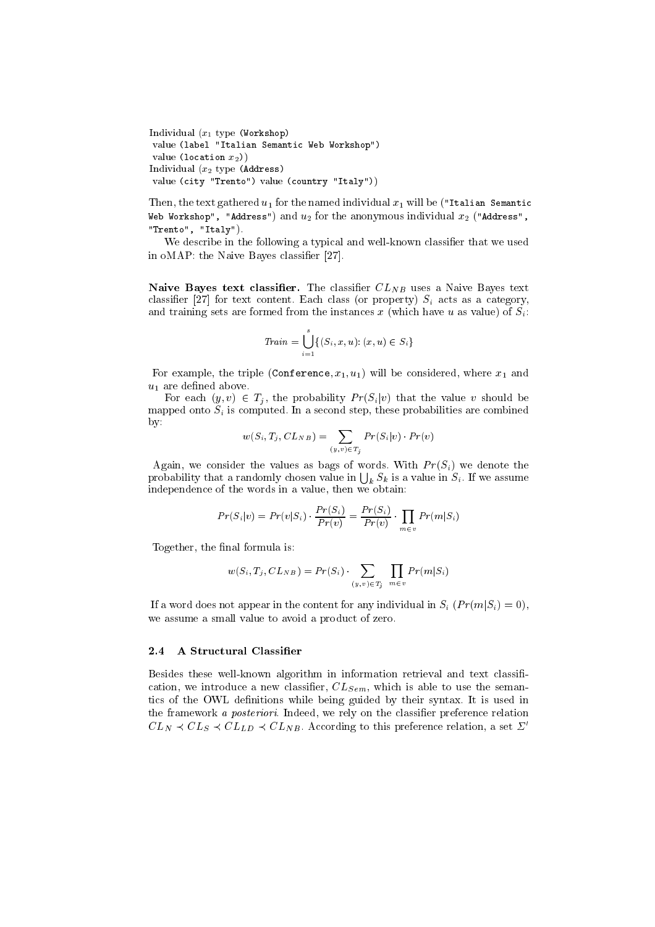Individual  $(x_1$  type (Workshop) value (label "Italian Semantic Web Workshop") value (location  $x_2$ )) Individual  $(x_2$  type (Address) value (city "Trento") value (country "Italy"))

Then, the text gathered  $u_1$  for the named individual  $x_1$  will be ("Italian Semantic Web Workshop", "Address") and  $u_2$  for the anonymous individual  $x_2$  ("Address", "Trento", "Italy").

We describe in the following a typical and well-known classifier that we used in oMAP: the Naive Bayes classifier [27].

**Naive Bayes text classifier.** The classifier  $CL_{NB}$  uses a Naive Bayes text classifier [27] for text content. Each class (or property)  $S_i$  acts as a category, and training sets are formed from the instances x (which have u as value) of  $S_i$ :

$$
Train = \bigcup_{i=1}^{s} \{ (S_i, x, u) : (x, u) \in S_i \}
$$

For example, the triple (Conference,  $x_1, u_1$ ) will be considered, where  $x_1$  and  $u_1$  are defined above.

For each  $(y, v) \in T_j$ , the probability  $Pr(S_i|v)$  that the value v should be mapped onto  $S_i$  is computed. In a second step, these probabilities are combined  $by:$ 

$$
w(S_i, T_j, CL_{NB}) = \sum_{(y,v) \in T_j} Pr(S_i|v) \cdot Pr(v)
$$

Again, we consider the values as bags of words. With  $Pr(S_i)$  we denote the probability that a randomly chosen value in  $\bigcup_k S_k$  is a value in  $S_i$ . If we assume independence of the words in a value, then we obtain:

$$
Pr(S_i|v) = Pr(v|S_i) \cdot \frac{Pr(S_i)}{Pr(v)} = \frac{Pr(S_i)}{Pr(v)} \cdot \prod_{m \in v} Pr(m|S_i)
$$

Together, the final formula is:

$$
w(S_i, T_j, CL_{NB}) = Pr(S_i) \cdot \sum_{(y,v) \in T_j} \prod_{m \in v} Pr(m|S_i)
$$

If a word does not appear in the content for any individual in  $S_i$   $(Pr(m|S_i) = 0)$ , we assume a small value to avoid a product of zero.

#### A Structural Classifier  $2.4$

Besides these well-known algorithm in information retrieval and text classification, we introduce a new classifier,  $CL_{Sem}$ , which is able to use the semantics of the OWL definitions while being guided by their syntax. It is used in the framework a *posteriori*. Indeed, we rely on the classifier preference relation  $CL_N \prec CL_S \prec CL_{LD} \prec CL_{NB}$ . According to this preference relation, a set  $\Sigma'$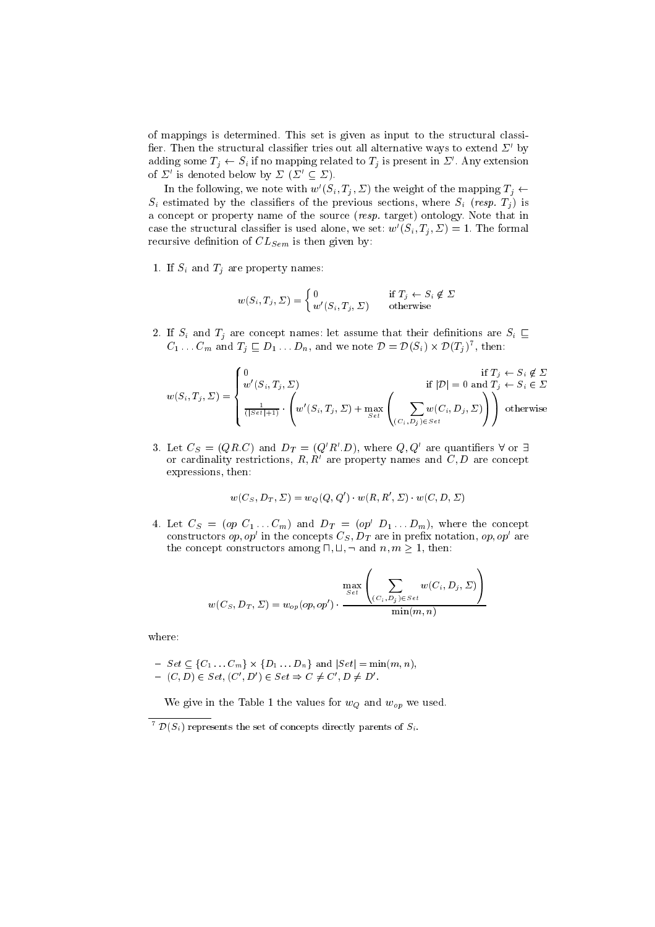of mappings is determined. This set is given as input to the structural classifier. Then the structural classifier tries out all alternative ways to extend  $\Sigma'$  by adding some  $T_j \leftarrow S_i$  if no mapping related to  $T_j$  is present in  $\Sigma'$ . Any extension of  $\Sigma'$  is denoted below by  $\Sigma$  ( $\Sigma' \subseteq \Sigma$ ).

In the following, we note with  $w'(S_i, T_j, \Sigma)$  the weight of the mapping  $T_j \leftarrow$  $S_i$  estimated by the classifiers of the previous sections, where  $S_i$  (resp.  $T_i$ ) is a concept or property name of the source (resp. target) ontology. Note that in case the structural classifier is used alone, we set:  $w'(S_i, T_i, \Sigma) = 1$ . The formal recursive definition of  $CL_{Sem}$  is then given by:

1. If  $S_i$  and  $T_j$  are property names:

$$
w(S_i, T_j, \Sigma) = \begin{cases} 0 & \text{if } T_j \leftarrow S_i \notin \Sigma \\ w'(S_i, T_j, \Sigma) & \text{otherwise} \end{cases}
$$

2. If  $S_i$  and  $T_j$  are concept names: let assume that their definitions are  $S_i \subseteq$  $C_1 \ldots C_m$  and  $T_j \sqsubseteq D_1 \ldots D_n$ , and we note  $\mathcal{D} = \mathcal{D}(S_i) \times \mathcal{D}(T_j)^7$ , then:

$$
w(S_i, T_j, \Sigma) = \begin{cases} 0 & \text{if } T_j \leftarrow S_i \notin \Sigma \\ w'(S_i, T_j, \Sigma) & \text{if } |\mathcal{D}| = 0 \text{ and } T_j \leftarrow S_i \in \Sigma \\ \frac{1}{(|S \in \mathcal{E}|+1)} \cdot \left( w'(S_i, T_j, \Sigma) + \max_{S \in \mathcal{E}} \left( \sum_{(C_i, D_j) \in S \in \mathcal{E}} w(C_i, D_j, \Sigma) \right) \right) & \text{otherwise} \end{cases}
$$

3. Let  $C_S = (Q R C)$  and  $D_T = (Q'R'.D)$ , where  $Q, Q'$  are quantifiers  $\forall$  or  $\exists$ or cardinality restrictions,  $R, R'$  are property names and  $C, D$  are concept expressions, then:

$$
w(C_S,D_T,\Sigma)=w_Q(Q,Q')\cdot w(R,R',\Sigma)\cdot w(C,D,\Sigma)
$$

4. Let  $C_S = (op C_1 ... C_m)$  and  $D_T = (op' D_1 ... D_m)$ , where the concept constructors  $op, op'$  in the concepts  $C_S$ ,  $D_T$  are in prefix notation,  $op, op'$  are the concept constructors among  $\Box$ ,  $\Box$ ,  $\Box$  and  $n, m \geq 1$ , then:

$$
w(C_S, D_T, \Sigma) = w_{op}(op, op') \cdot \frac{\max\limits_{Set}\left(\sum\limits_{(C_i, D_j) \in Set} w(C_i, D_j, \Sigma)\right)}{\min(m, n)}
$$

where:

$$
- Set \subseteq \{C_1 \dots C_m\} \times \{D_1 \dots D_n\} \text{ and } |Set| = \min(m, n),
$$
  
-  $(C, D) \in Set, (C', D') \in Set \Rightarrow C \neq C', D \neq D'.$ 

We give in the Table 1 the values for  $w_Q$  and  $w_{op}$  we used.

<sup>&</sup>lt;sup>7</sup>  $\mathcal{D}(S_i)$  represents the set of concepts directly parents of  $S_i$ .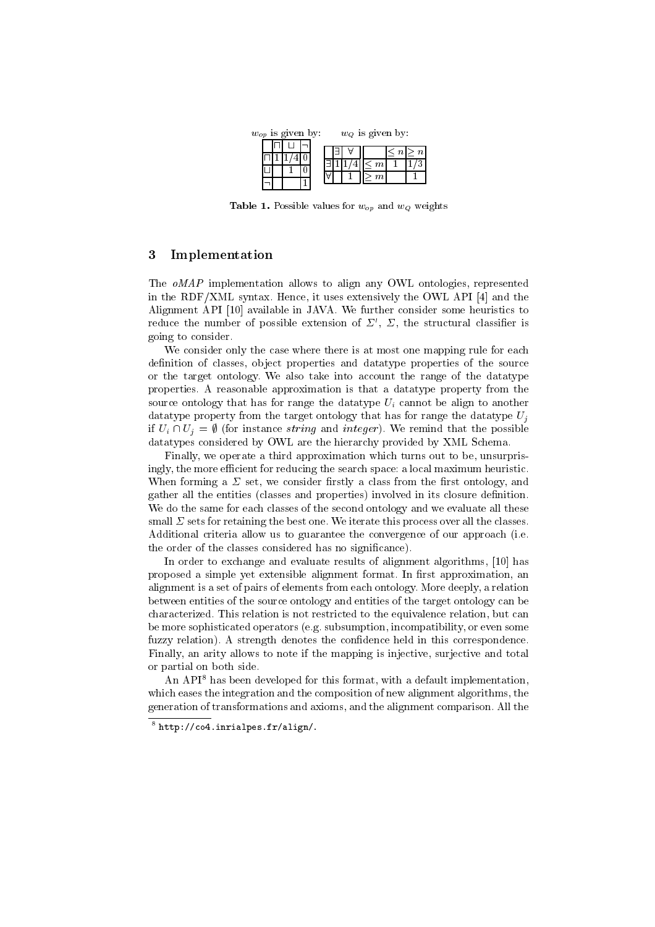

**Table 1.** Possible values for  $w_{op}$  and  $w_Q$  weights

#### Implementation 3

The oMAP implementation allows to align any OWL ontologies, represented in the RDF/XML syntax. Hence, it uses extensively the OWL API [4] and the Alignment API [10] available in JAVA. We further consider some heuristics to reduce the number of possible extension of  $\Sigma'$ ,  $\Sigma$ , the structural classifier is going to consider.

We consider only the case where there is at most one mapping rule for each definition of classes, object properties and data type properties of the source or the target ontology. We also take into account the range of the datatype properties. A reasonable approximation is that a data type property from the source ontology that has for range the data type  $U_i$  cannot be align to another data type property from the target ontology that has for range the data type  $U_i$ if  $U_i \cap U_j = \emptyset$  (for instance *string* and *integer*). We remind that the possible datatypes considered by OWL are the hierarchy provided by XML Schema.

Finally, we operate a third approximation which turns out to be, unsurprisingly, the more efficient for reducing the search space: a local maximum heuristic. When forming a  $\Sigma$  set, we consider firstly a class from the first ontology, and gather all the entities (classes and properties) involved in its closure definition. We do the same for each classes of the second ontology and we evaluate all these small  $\Sigma$  sets for retaining the best one. We iterate this process over all the classes. Additional criteria allow us to guarantee the convergence of our approach (i.e. the order of the classes considered has no significance).

In order to exchange and evaluate results of alignment algorithms, [10] has proposed a simple yet extensible alignment format. In first approximation, an alignment is a set of pairs of elements from each ontology. More deeply, a relation between entities of the source ontology and entities of the target ontology can be characterized. This relation is not restricted to the equivalence relation, but can be more sophisticated operators (e.g. subsumption, incompatibility, or even some fuzzy relation). A strength denotes the confidence held in this correspondence. Finally, an arity allows to note if the mapping is injective, surjective and total or partial on both side.

An API<sup>8</sup> has been developed for this format, with a default implementation, which eases the integration and the composition of new alignment algorithms, the generation of transformations and axioms, and the alignment comparison. All the

 $8$  http://co4.inrialpes.fr/align/.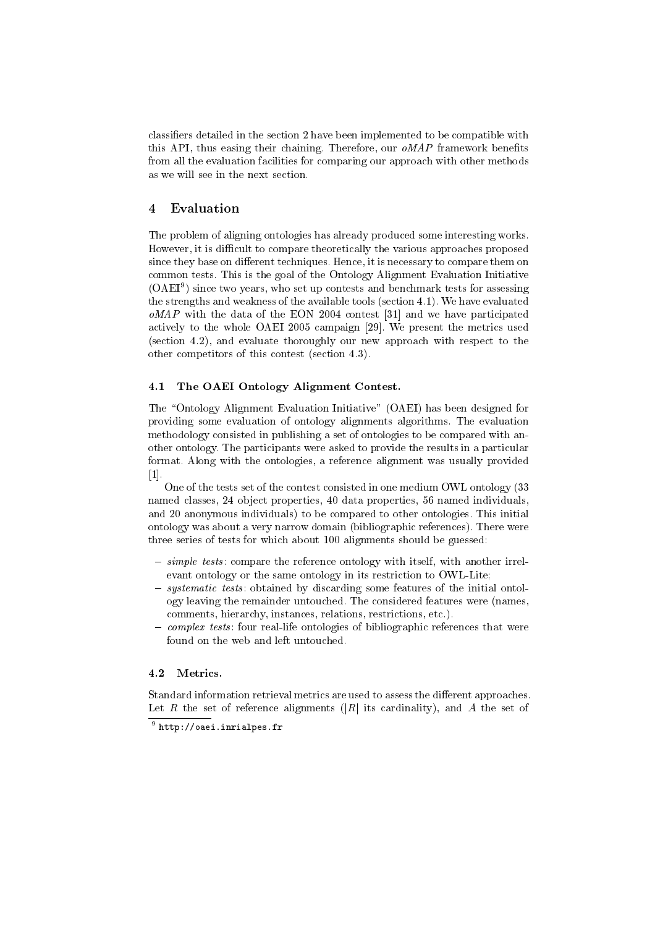classifiers detailed in the section 2 have been implemented to be compatible with this API, thus easing their chaining. Therefore, our *oMAP* framework benefits from all the evaluation facilities for comparing our approach with other methods as we will see in the next section.

#### $\overline{4}$ Evaluation

The problem of aligning ontologies has already produced some interesting works. However, it is difficult to compare theoretically the various approaches proposed since they base on different techniques. Hence, it is necessary to compare them on common tests. This is the goal of the Ontology Alignment Evaluation Initiative  $(OAEI<sup>9</sup>)$  since two years, who set up contests and benchmark tests for assessing the strengths and weakness of the available tools (section 4.1). We have evaluated  $oMAP$  with the data of the EON 2004 contest [31] and we have participated actively to the whole OAEI 2005 campaign [29]. We present the metrics used (section 4.2), and evaluate thoroughly our new approach with respect to the other competitors of this contest (section 4.3).

#### 4.1 The OAEI Ontology Alignment Contest.

The "Ontology Alignment Evaluation Initiative" (OAEI) has been designed for providing some evaluation of ontology alignments algorithms. The evaluation methodology consisted in publishing a set of ontologies to be compared with another ontology. The participants were asked to provide the results in a particular format. Along with the ontologies, a reference alignment was usually provided  $\lceil 1 \rceil$ .

One of the tests set of the contest consisted in one medium OWL ontology (33 named classes, 24 object properties, 40 data properties, 56 named individuals, and 20 anonymous individuals) to be compared to other ontologies. This initial ontology was about a very narrow domain (bibliographic references). There were three series of tests for which about 100 alignments should be guessed:

- simple tests: compare the reference ontology with itself, with another irrelevant ontology or the same ontology in its restriction to OWL-Lite.
- systematic tests: obtained by discarding some features of the initial ontology leaving the remainder untouched. The considered features were (names, comments, hierarchy, instances, relations, restrictions, etc.).
- complex tests: four real-life ontologies of bibliographic references that were found on the web and left untouched.

### 4.2 Metrics.

Standard information retrieval metrics are used to assess the different approaches. Let R the set of reference alignments (|R| its cardinality), and A the set of

 $9$  http://oaei.inrialpes.fr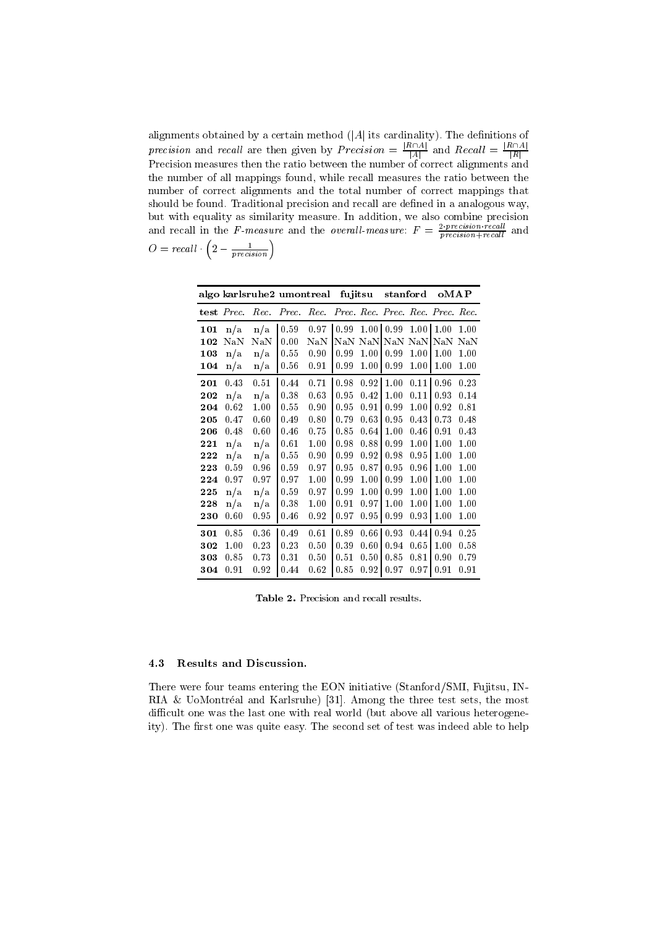alignments obtained by a certain method  $(|A|$  its cardinality). The definitions of *precision* and *recall* are then given by  $Precision = \frac{|R \cap A|}{|A|}$  and  $Recall = \frac{|R \cap A|}{|R|}$ <br>Precision measures then the ratio between the number of correct alignments and the number of all mappings found, while recall measures the ratio between the number of correct alignments and the total number of correct mappings that should be found. Traditional precision and recall are defined in a analogous way, but with equality as similarity measure. In addition, we also combine precision<br>and recall in the *F*-measure and the *overall-measure*:  $F = \frac{2 \cdot precision \cdot recall}{precision + recall}$  and  $O = recall \cdot \left(2 - \frac{1}{precision}\right)$ 

| algo karlsruhe2 umontreal |            |      |       |          | fujitsu                               |          | stanford   |                   | oMAP |      |
|---------------------------|------------|------|-------|----------|---------------------------------------|----------|------------|-------------------|------|------|
|                           | test Prec. | Rec. | Prec. |          | Rec. Prec. Rec. Prec. Rec. Prec. Rec. |          |            |                   |      |      |
| 101                       | n/a        | n/a  | 0.59  | 0.97     | 0.99                                  | 1.00     | 0.99       | 1.00 <sub>l</sub> | 1.00 | 1.00 |
| 102                       | $\rm Na\,$ | NaN  | 0.00  | NaN      | NaN                                   | NaN      | $\rm Na\,$ | NaN               | NaN  | NaN  |
| 103                       | n/a        | n/a  | 0.55  | 0.90     | 0.99                                  | 1.00     | 0.99       | 1.00              | 1.00 | 1.00 |
| 104                       | n/a        | n/a  | 0.56  | 0.91     | 0.99                                  | $1.00\,$ | 0.99       | $1.00\,$          | 1.00 | 1.00 |
| 201                       | 0.43       | 0.51 | 0.44  | 0.71     | 0.98                                  | 0.92     | 1.00       | 0.111             | 0.96 | 0.23 |
| 202                       | n/a        | n/a  | 0.38  | 0.63     | 0.95                                  | 0.42     | 1.00       | 0.11              | 0.93 | 0.14 |
| 204                       | 0.62       | 1.00 | 0.55  | 0.90     | 0.95                                  | 0.91     | 0.99       | 1.00              | 0.92 | 0.81 |
| 205                       | 0.47       | 0.60 | 0.49  | 0.80     | 0.79                                  | 0.63     | 0.95       | 0.43              | 0.73 | 0.48 |
| 206                       | 0.48       | 0.60 | 0.46  | 0.75     | 0.85                                  | 0.64     | 1.00       | 0.46              | 0.91 | 0.43 |
| 221                       | n/a        | n/a  | 0.61  | 1.00     | 0.98                                  | 0.88     | 0.99       | 1.00              | 1.00 | 1.00 |
| 222                       | n/a        | n/a  | 0.55  | 0.90     | 0.99                                  | 0.92     | 0.98       | 0.95              | 1.00 | 1.00 |
| 223                       | 0.59       | 0.96 | 0.59  | 0.97     | 0.95                                  | 0.87     | 0.95       | 0.96              | 1.00 | 1.00 |
| 224                       | 0.97       | 0.97 | 0.97  | 1.00     | 0.99                                  | 1.00     | 0.99       | 1.00              | 1.00 | 1.00 |
| 225                       | n/a        | n/a  | 0.59  | 0.97     | 0.99                                  | 1.00     | 0.99       | 1.00              | 1.00 | 1.00 |
| 228                       | n/a        | n/a  | 0.38  | $1.00\,$ | 0.91                                  | 0.97     | 1.00       | 1.00              | 1.00 | 1.00 |
| 230                       | 0.60       | 0.95 | 0.46  | 0.92     | 0.97                                  | 0.95     | 0.99       | 0.93              | 1.00 | 1.00 |
| 301                       | 0.85       | 0.36 | 0.49  | 0.61     | 0.89                                  | 0.66     | 0.93       | 0.44              | 0.94 | 0.25 |
| 302                       | 1.00       | 0.23 | 0.23  | 0.50     | 0.39                                  | 0.60     | 0.94       | 0.65              | 1.00 | 0.58 |
| 303                       | 0.85       | 0.73 | 0.31  | 0.50     | 0.51                                  | 0.50     | 0.85       | 0.81              | 0.90 | 0.79 |
| 304                       | $_{0.91}$  | 0.92 | 0.44  | 0.62     | $0.85\,$                              | 0.92     | 0.97       | 0.97              | 0.91 | 0.91 |

Table 2. Precision and recall results.

#### 4.3 Results and Discussion.

There were four teams entering the EON initiative (Stanford/SMI, Fujitsu, IN-RIA & UoMontréal and Karlsruhe) [31]. Among the three test sets, the most difficult one was the last one with real world (but above all various heterogeneity). The first one was quite easy. The second set of test was indeed able to help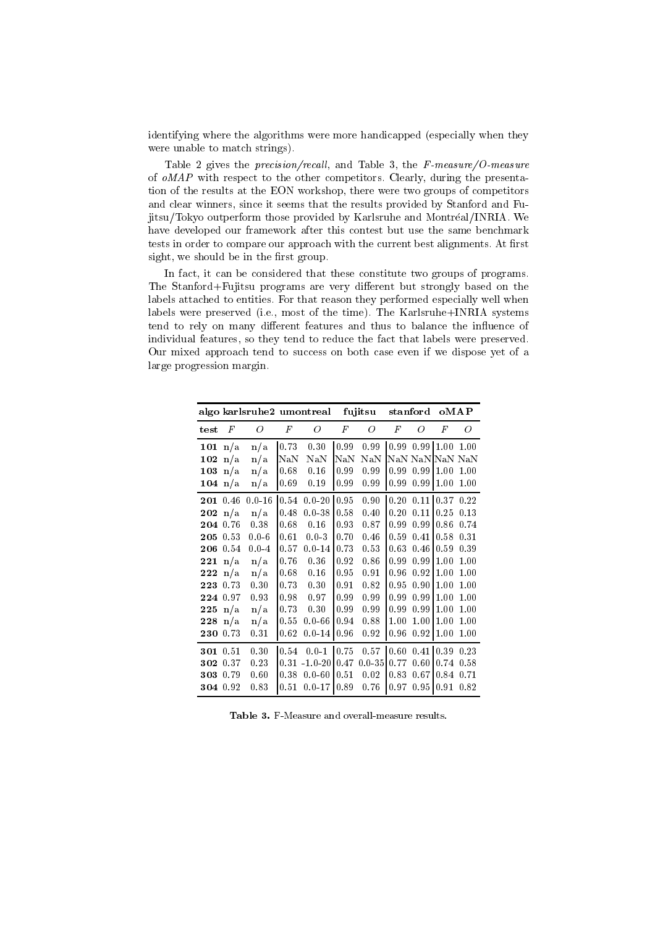identifying where the algorithms were more handicapped (especially when they were unable to match strings).

Table 2 gives the *precision/recall*, and Table 3, the  $F$ -measure/O-measure of  $oMAP$  with respect to the other competitors. Clearly, during the presentation of the results at the EON workshop, there were two groups of competitors and clear winners, since it seems that the results provided by Stanford and Fujitsu/Tokyo outperform those provided by Karlsruhe and Montréal/INRIA. We have developed our framework after this contest but use the same benchmark tests in order to compare our approach with the current best alignments. At first sight, we should be in the first group.

In fact, it can be considered that these constitute two groups of programs. The Stanford+Fujitsu programs are very different but strongly based on the labels attached to entities. For that reason they performed especially well when labels were preserved (i.e., most of the time). The Karlsruhe+INRIA systems tend to rely on many different features and thus to balance the influence of individual features, so they tend to reduce the fact that labels were preserved. Our mixed approach tend to success on both case even if we dispose yet of a large progression margin.

|          | algo karlsruhe2 umontreal |            |                  |             | fujitsu   |            | stanford |             | oMAP |      |
|----------|---------------------------|------------|------------------|-------------|-----------|------------|----------|-------------|------|------|
| test     | $_{F}$                    | 0          | $\boldsymbol{F}$ | 0           | F         | 0          | F        | Ο           | F    | O    |
| 101      | n/a                       | n/a        | 0.73             | 0.30        | 0.99      | 0.99       | 0.99     | 0.99        | 1.00 | 1.00 |
| 102      | n/a                       | n/a        | NaN              | $\rm NaN$   | $\rm NaN$ | NaN        |          | NaN NaN NaN |      | NaN  |
| 103      | n/a                       | n/a        | 0.68             | 0.16        | 0.99      | 0.99       | 0.99     | 0.99        | 1.00 | 1.00 |
| 104      | n/a                       | n/a        | 0.69             | 0.19        | 0.99      | 0.99       | 0.99     | 0.99        | 1.00 | 1.00 |
| 201      | 0.46                      | $0.0 - 16$ | 0.54             | $0.0 - 20$  | 0.95      | 0.90       | 0.20     | 0.11        | 0.37 | 0.22 |
| 202      | n/a                       | n/a        | 0.48             | $0.0 - 38$  | 0.58      | 0.40       | 0.20     | 0.11        | 0.25 | 0.13 |
| 204      | 0.76                      | 0.38       | 0.68             | 0.16        | 0.93      | 0.87       | 0.99     | 0.99        | 0.86 | 0.74 |
| 205      | 0.53                      | $0.0 - 6$  | 0.61             | $0.0 - 3$   | 0.70      | 0.46       | 0.59     | 0.41        | 0.58 | 0.31 |
| 206      | 0.54                      | $0.0 - 4$  | 0.57             | $0.0 - 14$  | 0.73      | 0.53       | 0.63     | 0.46        | 0.59 | 0.39 |
| 221      | n/a                       | n/a        | 0.76             | 0.36        | 0.92      | 0.86       | 0.99     | 0.99        | 1.00 | 1.00 |
| 222      | n/a                       | n/a        | 0.68             | 0.16        | 0.95      | 0.91       | 0.96     | 0.92        | 1.00 | 1.00 |
| 223      | 0.73                      | 0.30       | 0.73             | 0.30        | 0.91      | 0.82       | 0.95     | 0.90        | 1.00 | 1.00 |
| 224      | 0.97                      | 0.93       | 0.98             | 0.97        | 0.99      | 0.99       | 0.99     | 0.99        | 1.00 | 1.00 |
| 225      | n/a                       | n/a        | 0.73             | 0.30        | 0.99      | 0.99       | 0.99     | 0.99        | 1.00 | 1.00 |
| 228      | n/a                       | n/a        | 0.55             | $0.0 - 66$  | 0.94      | 0.88       | 1.00     | 1.00        | 1.00 | 1.00 |
| 230      | 0.73                      | 0.31       | 0.62             | $0.0 - 14$  | 0.96      | 0.92       | 0.96     | 0.92        | 1.00 | 1.00 |
| 301      | 0.51                      | 0.30       | 0.54             | $0.0 - 1$   | 0.75      | 0.57       | 0.60     | 0.41        | 0.39 | 0.23 |
| 302      | 0.37                      | 0.23       | 0.31             | $-1.0 - 20$ | 0.47      | $0.0 - 35$ | 0.77     | 0.60        | 0.74 | 0.58 |
| 303 0.79 |                           | 0.60       | 0.38             | $0.0 - 60$  | 0.51      | 0.02       | 0.83     | 0.67        | 0.84 | 0.71 |
| 304 0.92 |                           | 0.83       | 0.51             | $0.0 - 17$  | 0.89      | 0.76       | 0.97     | 0.95        | 0.91 | 0.82 |

Table 3. F-Measure and overall-measure results.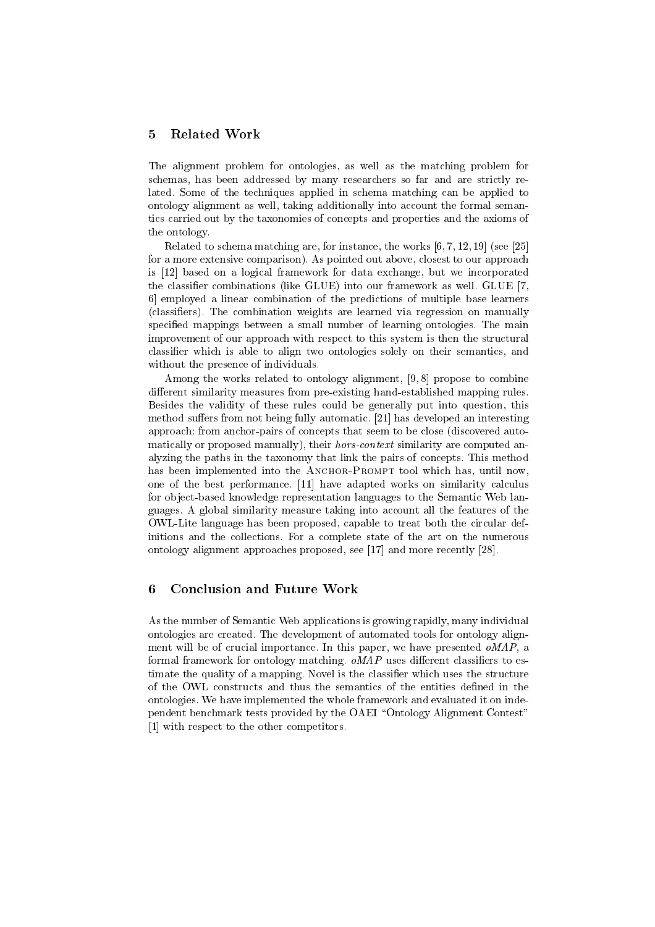#### **Related Work** 5

The alignment problem for ontologies, as well as the matching problem for schemas, has been addressed by many researchers so far and are strictly related. Some of the techniques applied in schema matching can be applied to ontology alignment as well, taking additionally into account the formal semantics carried out by the taxonomies of concepts and properties and the axioms of the ontology.

Related to schema matching are, for instance, the works  $[6, 7, 12, 19]$  (see [25] for a more extensive comparison). As pointed out above, closest to our approach is [12] based on a logical framework for data exchange, but we incorporated the classifier combinations (like GLUE) into our framework as well. GLUE [7, 6 employed a linear combination of the predictions of multiple base learners (classifiers). The combination weights are learned via regression on manually specified mappings between a small number of learning ontologies. The main improvement of our approach with respect to this system is then the structural classifier which is able to align two ontologies solely on their semantics, and without the presence of individuals.

Among the works related to ontology alignment, [9,8] propose to combine different similarity measures from pre-existing hand-established mapping rules. Besides the validity of these rules could be generally put into question, this method suffers from not being fully automatic. [21] has developed an interesting approach: from anchor-pairs of concepts that seem to be close (discovered automatically or proposed manually), their *hors-context* similarity are computed analyzing the paths in the taxonomy that link the pairs of concepts. This method has been implemented into the ANCHOR-PROMPT tool which has, until now, one of the best performance. [11] have adapted works on similarity calculus for object-based knowledge representation languages to the Semantic Web languages. A global similarity measure taking into account all the features of the OWL-Lite language has been proposed, capable to treat both the circular definitions and the collections. For a complete state of the art on the numerous ontology alignment approaches proposed, see [17] and more recently [28].

#### 6 **Conclusion and Future Work**

As the number of Semantic Web applications is growing rapidly, many individual ontologies are created. The development of automated tools for ontology alignment will be of crucial importance. In this paper, we have presented oMAP, a formal framework for ontology matching.  $\omega MAP$  uses different classifiers to estimate the quality of a mapping. Novel is the classifier which uses the structure of the OWL constructs and thus the semantics of the entities defined in the ontologies. We have implemented the whole framework and evaluated it on independent benchmark tests provided by the OAEI "Ontology Alignment Contest" [1] with respect to the other competitors.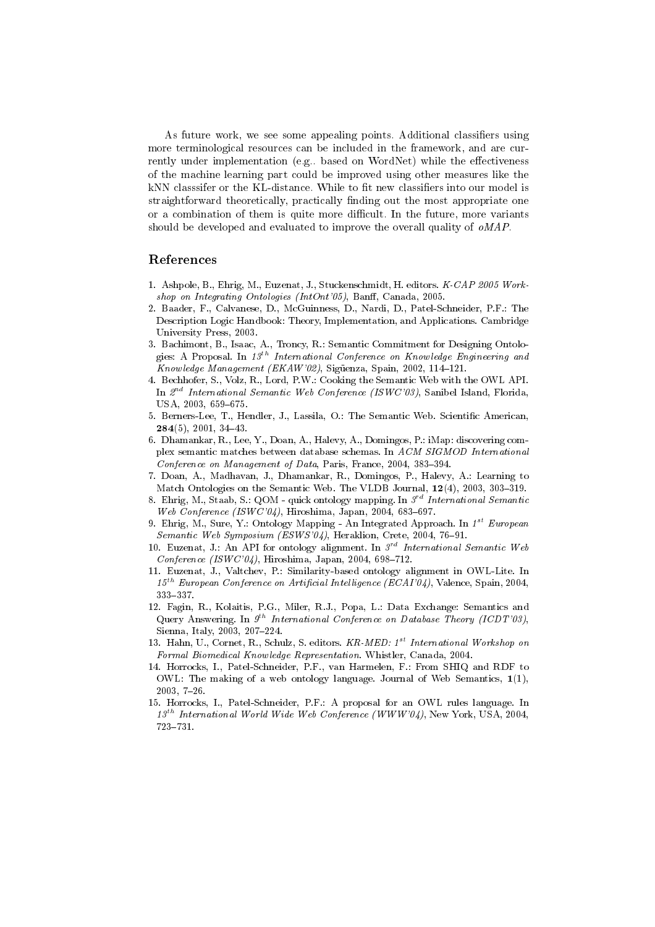As future work, we see some appealing points. Additional classifiers using more terminological resources can be included in the framework, and are currently under implementation (e.g. based on WordNet) while the effectiveness of the machine learning part could be improved using other measures like the kNN classifier or the KL-distance. While to fit new classifiers into our model is straightforward theoretically, practically finding out the most appropriate one or a combination of them is quite more difficult. In the future, more variants should be developed and evaluated to improve the overall quality of  $\omega MAP$ .

## References

- 1. Ashpole, B., Ehrig, M., Euzenat, J., Stuckenschmidt, H. editors. K-CAP 2005 Workshop on Integrating Ontologies (IntOnt'05), Banff, Canada, 2005.
- 2. Baader, F., Calvanese, D., McGuinness, D., Nardi, D., Patel-Schneider, P.F.: The Description Logic Handbook: Theory, Implementation, and Applications. Cambridge University Press, 2003.
- 3. Bachimont, B., Isaac, A., Troncy, R.: Semantic Commitment for Designing Ontologies: A Proposal. In  $13^{th}$  International Conference on Knowledge Engineering and Knowledge Management (EKAW'02), Sigüenza, Spain, 2002, 114-121.
- 4. Bechhofer, S., Volz, R., Lord, P.W.: Cooking the Semantic Web with the OWL API. In  $2^{nd}$  International Semantic Web Conference (ISWC'03), Sanibel Island, Florida, USA, 2003, 659-675.
- 5. Berners-Lee, T., Hendler, J., Lassila, O.: The Semantic Web. Scientific American,  $284(5)$ , 2001, 34-43.
- 6. Dhamankar, R., Lee, Y., Doan, A., Halevy, A., Domingos, P.: iMap: discovering complex semantic matches between database schemas. In ACM SIGMOD International Conference on Management of Data, Paris, France, 2004, 383-394.
- 7. Doan, A., Madhavan, J., Dhamankar, R., Domingos, P., Halevy, A.: Learning to Match Ontologies on the Semantic Web. The VLDB Journal, 12(4), 2003, 303-319.
- 8. Ehrig, M., Staab, S.: QOM quick ontology mapping. In  $3^{rd}$  International Semantic Web Conference (ISWC'04), Hiroshima, Japan, 2004, 683-697.
- 9. Ehrig, M., Sure, Y.: Ontology Mapping An Integrated Approach. In  $1^{st}$  European Semantic Web Symposium (ESWS'04), Heraklion, Crete, 2004, 76-91.
- 10. Euzenat, J.: An API for ontology alignment. In  $3^{rd}$  International Semantic Web Conference (ISWC'04), Hiroshima, Japan, 2004, 698-712.
- 11. Euzenat, J., Valtchev, P.: Similarity-based ontology alignment in OWL-Lite. In  $15^{th}$  European Conference on Artificial Intelligence (ECAI'04), Valence, Spain, 2004,  $333 - 337$
- 12. Fagin, R., Kolaitis, P.G., Miler, R.J., Popa, L.: Data Exchange: Semantics and Query Answering. In  $9^{th}$  International Conference on Database Theory (ICDT'03), Sienna, Italy, 2003, 207-224.
- 13. Hahn, U., Cornet, R., Schulz, S. editors. KR-MED: 1<sup>st</sup> International Workshop on Formal Biomedical Knowledge Representation. Whistler, Canada, 2004.
- 14. Horrocks, I., Patel-Schneider, P.F., van Harmelen, F.: From SHIQ and RDF to OWL: The making of a web ontology language. Journal of Web Semantics,  $1(1)$ ,  $2003, 7-26.$
- 15. Horrocks, I., Patel-Schneider, P.F.: A proposal for an OWL rules language. In  $13^{th}$  International World Wide Web Conference (WWW'04), New York, USA, 2004, 723-731.